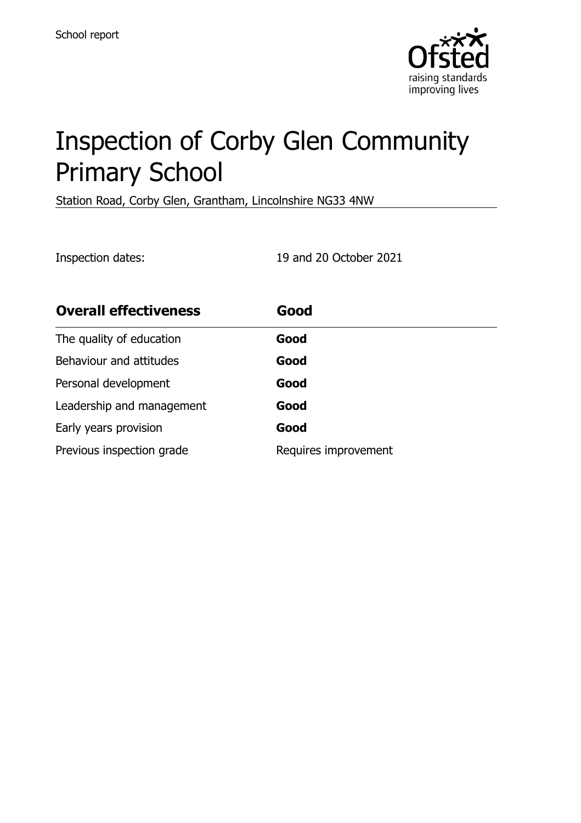

# Inspection of Corby Glen Community Primary School

Station Road, Corby Glen, Grantham, Lincolnshire NG33 4NW

Inspection dates: 19 and 20 October 2021

| <b>Overall effectiveness</b> | Good                 |
|------------------------------|----------------------|
| The quality of education     | Good                 |
| Behaviour and attitudes      | Good                 |
| Personal development         | Good                 |
| Leadership and management    | Good                 |
| Early years provision        | Good                 |
| Previous inspection grade    | Requires improvement |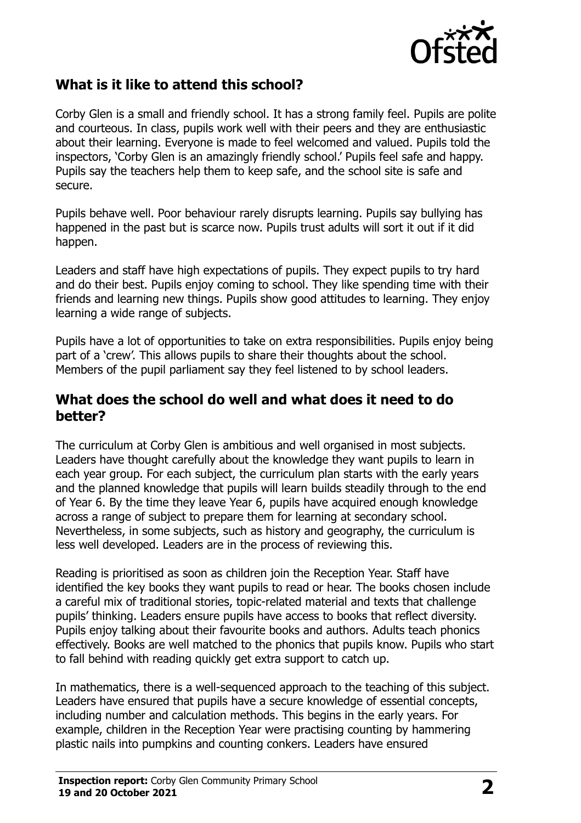

#### **What is it like to attend this school?**

Corby Glen is a small and friendly school. It has a strong family feel. Pupils are polite and courteous. In class, pupils work well with their peers and they are enthusiastic about their learning. Everyone is made to feel welcomed and valued. Pupils told the inspectors, 'Corby Glen is an amazingly friendly school.' Pupils feel safe and happy. Pupils say the teachers help them to keep safe, and the school site is safe and secure.

Pupils behave well. Poor behaviour rarely disrupts learning. Pupils say bullying has happened in the past but is scarce now. Pupils trust adults will sort it out if it did happen.

Leaders and staff have high expectations of pupils. They expect pupils to try hard and do their best. Pupils enjoy coming to school. They like spending time with their friends and learning new things. Pupils show good attitudes to learning. They enjoy learning a wide range of subjects.

Pupils have a lot of opportunities to take on extra responsibilities. Pupils enjoy being part of a 'crew'. This allows pupils to share their thoughts about the school. Members of the pupil parliament say they feel listened to by school leaders.

#### **What does the school do well and what does it need to do better?**

The curriculum at Corby Glen is ambitious and well organised in most subjects. Leaders have thought carefully about the knowledge they want pupils to learn in each year group. For each subject, the curriculum plan starts with the early years and the planned knowledge that pupils will learn builds steadily through to the end of Year 6. By the time they leave Year 6, pupils have acquired enough knowledge across a range of subject to prepare them for learning at secondary school. Nevertheless, in some subjects, such as history and geography, the curriculum is less well developed. Leaders are in the process of reviewing this.

Reading is prioritised as soon as children join the Reception Year. Staff have identified the key books they want pupils to read or hear. The books chosen include a careful mix of traditional stories, topic-related material and texts that challenge pupils' thinking. Leaders ensure pupils have access to books that reflect diversity. Pupils enjoy talking about their favourite books and authors. Adults teach phonics effectively. Books are well matched to the phonics that pupils know. Pupils who start to fall behind with reading quickly get extra support to catch up.

In mathematics, there is a well-sequenced approach to the teaching of this subject. Leaders have ensured that pupils have a secure knowledge of essential concepts, including number and calculation methods. This begins in the early years. For example, children in the Reception Year were practising counting by hammering plastic nails into pumpkins and counting conkers. Leaders have ensured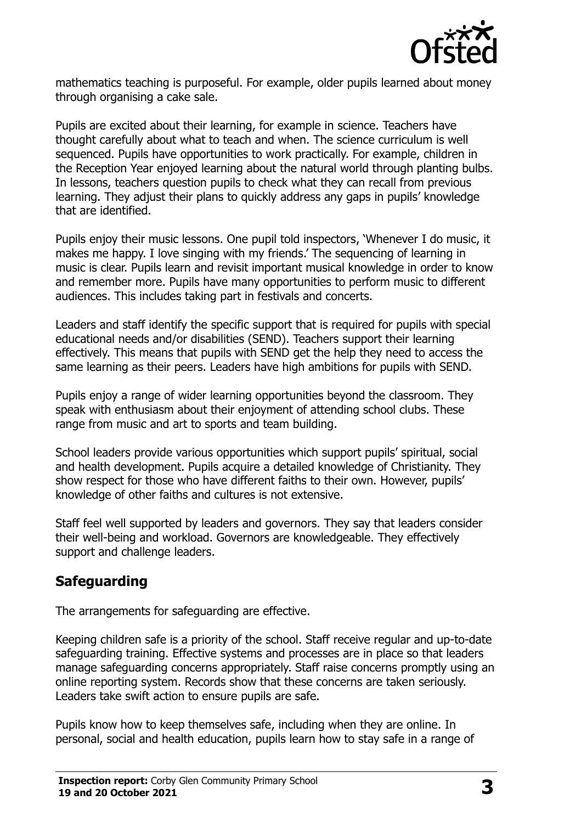

mathematics teaching is purposeful. For example, older pupils learned about money through organising a cake sale.

Pupils are excited about their learning, for example in science. Teachers have thought carefully about what to teach and when. The science curriculum is well sequenced. Pupils have opportunities to work practically. For example, children in the Reception Year enjoyed learning about the natural world through planting bulbs. In lessons, teachers question pupils to check what they can recall from previous learning. They adjust their plans to quickly address any gaps in pupils' knowledge that are identified.

Pupils enjoy their music lessons. One pupil told inspectors, 'Whenever I do music, it makes me happy. I love singing with my friends.' The sequencing of learning in music is clear. Pupils learn and revisit important musical knowledge in order to know and remember more. Pupils have many opportunities to perform music to different audiences. This includes taking part in festivals and concerts.

Leaders and staff identify the specific support that is required for pupils with special educational needs and/or disabilities (SEND). Teachers support their learning effectively. This means that pupils with SEND get the help they need to access the same learning as their peers. Leaders have high ambitions for pupils with SEND.

Pupils enjoy a range of wider learning opportunities beyond the classroom. They speak with enthusiasm about their enjoyment of attending school clubs. These range from music and art to sports and team building.

School leaders provide various opportunities which support pupils' spiritual, social and health development. Pupils acquire a detailed knowledge of Christianity. They show respect for those who have different faiths to their own. However, pupils' knowledge of other faiths and cultures is not extensive.

Staff feel well supported by leaders and governors. They say that leaders consider their well-being and workload. Governors are knowledgeable. They effectively support and challenge leaders.

## **Safeguarding**

The arrangements for safeguarding are effective.

Keeping children safe is a priority of the school. Staff receive regular and up-to-date safeguarding training. Effective systems and processes are in place so that leaders manage safeguarding concerns appropriately. Staff raise concerns promptly using an online reporting system. Records show that these concerns are taken seriously. Leaders take swift action to ensure pupils are safe.

Pupils know how to keep themselves safe, including when they are online. In personal, social and health education, pupils learn how to stay safe in a range of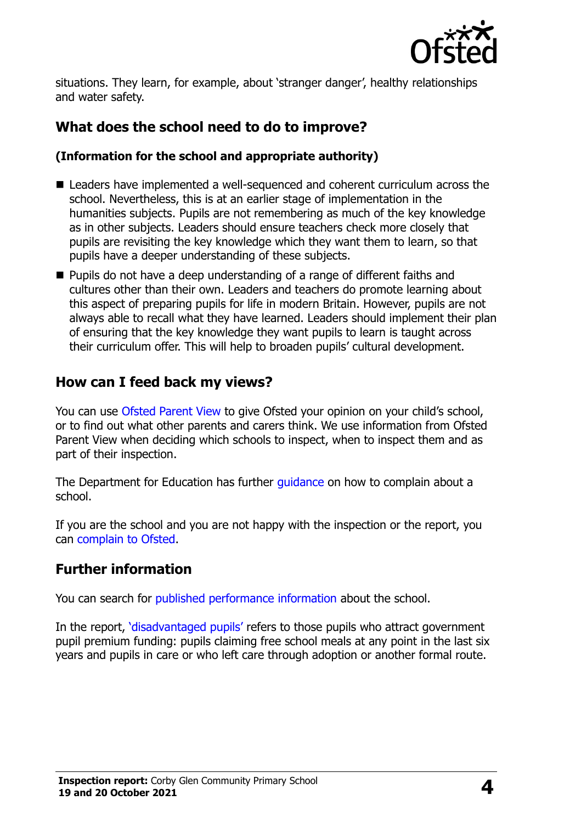

situations. They learn, for example, about 'stranger danger', healthy relationships and water safety.

## **What does the school need to do to improve?**

#### **(Information for the school and appropriate authority)**

- Leaders have implemented a well-sequenced and coherent curriculum across the school. Nevertheless, this is at an earlier stage of implementation in the humanities subjects. Pupils are not remembering as much of the key knowledge as in other subjects. Leaders should ensure teachers check more closely that pupils are revisiting the key knowledge which they want them to learn, so that pupils have a deeper understanding of these subjects.
- **Pupils do not have a deep understanding of a range of different faiths and** cultures other than their own. Leaders and teachers do promote learning about this aspect of preparing pupils for life in modern Britain. However, pupils are not always able to recall what they have learned. Leaders should implement their plan of ensuring that the key knowledge they want pupils to learn is taught across their curriculum offer. This will help to broaden pupils' cultural development.

#### **How can I feed back my views?**

You can use [Ofsted Parent View](http://parentview.ofsted.gov.uk/) to give Ofsted your opinion on your child's school, or to find out what other parents and carers think. We use information from Ofsted Parent View when deciding which schools to inspect, when to inspect them and as part of their inspection.

The Department for Education has further quidance on how to complain about a school.

If you are the school and you are not happy with the inspection or the report, you can [complain to Ofsted.](http://www.gov.uk/complain-ofsted-report)

#### **Further information**

You can search for [published performance information](http://www.compare-school-performance.service.gov.uk/) about the school.

In the report, '[disadvantaged pupils](http://www.gov.uk/guidance/pupil-premium-information-for-schools-and-alternative-provision-settings)' refers to those pupils who attract government pupil premium funding: pupils claiming free school meals at any point in the last six years and pupils in care or who left care through adoption or another formal route.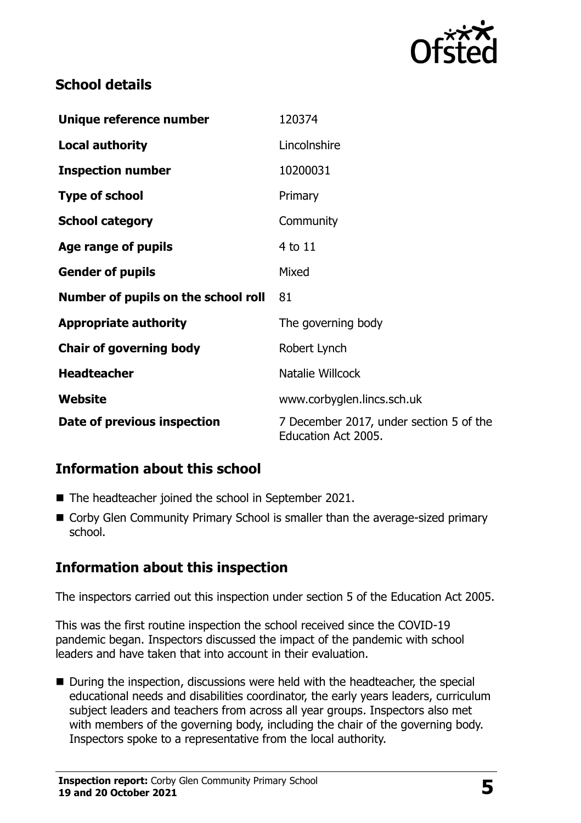

## **School details**

| Unique reference number             | 120374                                                         |
|-------------------------------------|----------------------------------------------------------------|
| <b>Local authority</b>              | Lincolnshire                                                   |
| <b>Inspection number</b>            | 10200031                                                       |
| <b>Type of school</b>               | Primary                                                        |
| <b>School category</b>              | Community                                                      |
| Age range of pupils                 | 4 to 11                                                        |
| <b>Gender of pupils</b>             | Mixed                                                          |
| Number of pupils on the school roll | 81                                                             |
| <b>Appropriate authority</b>        | The governing body                                             |
| <b>Chair of governing body</b>      | Robert Lynch                                                   |
| <b>Headteacher</b>                  | Natalie Willcock                                               |
| Website                             | www.corbyglen.lincs.sch.uk                                     |
| Date of previous inspection         | 7 December 2017, under section 5 of the<br>Education Act 2005. |

## **Information about this school**

- The headteacher joined the school in September 2021.
- Corby Glen Community Primary School is smaller than the average-sized primary school.

## **Information about this inspection**

The inspectors carried out this inspection under section 5 of the Education Act 2005.

This was the first routine inspection the school received since the COVID-19 pandemic began. Inspectors discussed the impact of the pandemic with school leaders and have taken that into account in their evaluation.

■ During the inspection, discussions were held with the headteacher, the special educational needs and disabilities coordinator, the early years leaders, curriculum subject leaders and teachers from across all year groups. Inspectors also met with members of the governing body, including the chair of the governing body. Inspectors spoke to a representative from the local authority.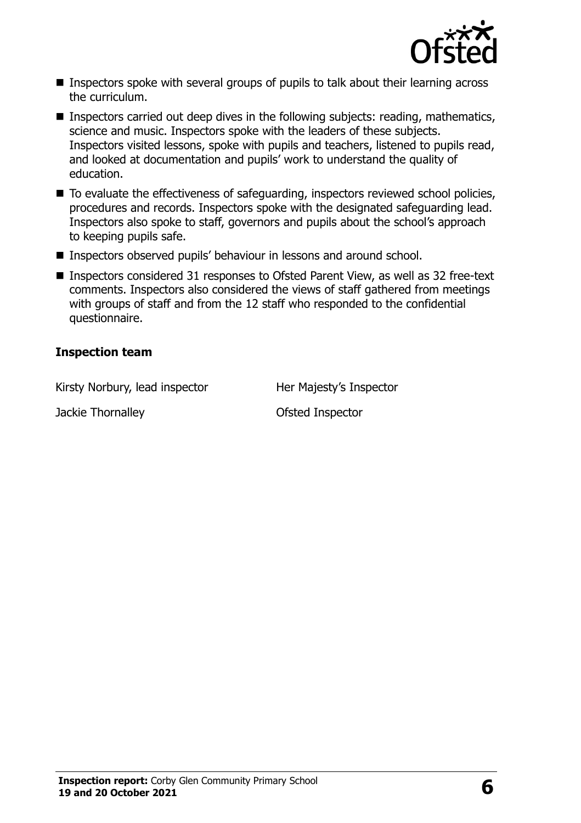

- **Inspectors spoke with several groups of pupils to talk about their learning across** the curriculum.
- Inspectors carried out deep dives in the following subjects: reading, mathematics, science and music. Inspectors spoke with the leaders of these subjects. Inspectors visited lessons, spoke with pupils and teachers, listened to pupils read, and looked at documentation and pupils' work to understand the quality of education.
- $\blacksquare$  To evaluate the effectiveness of safeguarding, inspectors reviewed school policies, procedures and records. Inspectors spoke with the designated safeguarding lead. Inspectors also spoke to staff, governors and pupils about the school's approach to keeping pupils safe.
- Inspectors observed pupils' behaviour in lessons and around school.
- Inspectors considered 31 responses to Ofsted Parent View, as well as 32 free-text comments. Inspectors also considered the views of staff gathered from meetings with groups of staff and from the 12 staff who responded to the confidential questionnaire.

#### **Inspection team**

Kirsty Norbury, lead inspector Her Majesty's Inspector

Jackie Thornalley **Disk and Separate Setted Inspector**